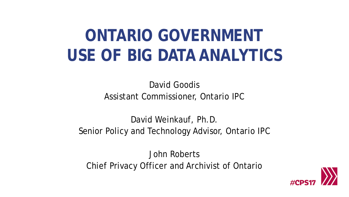### **ONTARIO GOVERNMENT USE OF BIG DATA ANALYTICS**

David Goodis Assistant Commissioner, Ontario IPC

David Weinkauf, Ph.D. Senior Policy and Technology Advisor, Ontario IPC

John Roberts Chief Privacy Officer and Archivist of Ontario

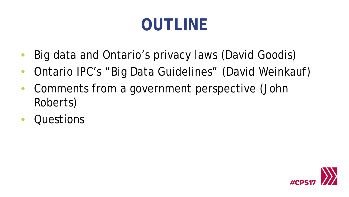## **OUTLINE**

- Big data and Ontario's privacy laws (David Goodis)
- Ontario IPC's "Big Data Guidelines" (David Weinkauf)
- Comments from a government perspective (John Roberts)
- **Questions**

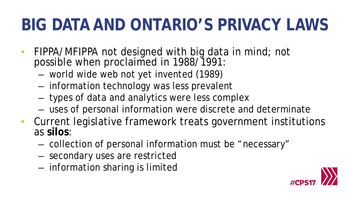### **BIG DATA AND ONTARIO'S PRIVACY LAWS**

- *FIPPA/MFIPPA* not designed with big data in mind; not possible when proclaimed in 1988/1991:
	- world wide web not yet invented (1989)
	- information technology was less prevalent
	- types of data and analytics were less complex
	- uses of personal information were discrete and determinate
- Current legislative framework treats government institutions as **silos**:
	- collection of personal information must be "necessary"
	- secondary uses are restricted
	- information sharing is limited

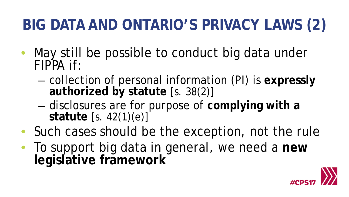#### **BIG DATA AND ONTARIO'S PRIVACY LAWS (2)**

- May still be possible to conduct big data under *FIPPA* if:
	- collection of personal information (PI) is **expressly authorized by statute** [s. 38(2)]
	- disclosures are for purpose of **complying with a statute** [s. 42(1)(e)]
- Such cases should be the exception, not the rule
- To support big data in general, we need a **new legislative framework**

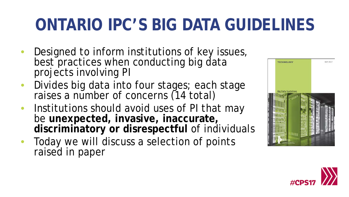### **ONTARIO IPC'S BIG DATA GUIDELINES**

- Designed to inform institutions of key issues, best practices when conducting big data projects involving PI
- Divides big data into four stages; each stage raises a number of concerns (14 total)
- Institutions should avoid uses of PI that may be **unexpected, invasive, inaccurate, discriminatory or disrespectful** of individuals
- Today we will discuss a selection of points raised in paper



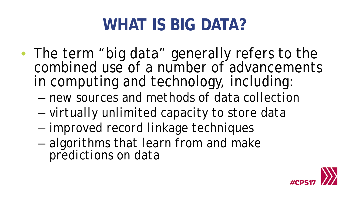### **WHAT IS BIG DATA?**

- The term "big data" generally refers to the combined use of a number of advancements in computing and technology, including:
	- *new sources and methods of data collection*
	- *virtually unlimited capacity to store data*
	- *improved record linkage techniques*
	- *algorithms that learn from and make predictions on data*

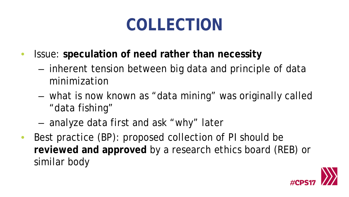### **COLLECTION**

- Issue: **speculation of need rather than necessity** 
	- inherent tension between big data and principle of data minimization
	- what is now known as "data mining" was originally called "data fishing"
	- analyze data first and ask "why" later
- Best practice (BP): proposed collection of PI should be **reviewed and approved** by a research ethics board (REB) or similar body

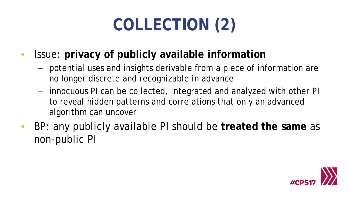# **COLLECTION (2)**

- Issue: **privacy of publicly available information**
	- potential uses and insights derivable from a piece of information are no longer discrete and recognizable in advance
	- innocuous PI can be collected, integrated and analyzed with other PI to reveal hidden patterns and correlations that only an advanced algorithm can uncover
- BP: any publicly available PI should be **treated the same** as non-public PI

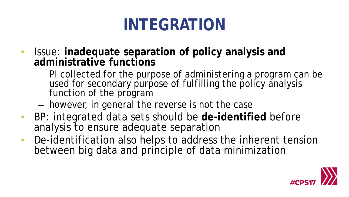## **INTEGRATION**

- Issue: **inadequate separation of policy analysis and administrative functions**
	- PI collected for the purpose of administering a program can be used for secondary purpose of fulfilling the policy analysis function of the program
	- however, in general the reverse is not the case
- BP: integrated data sets should be **de-identified** before analysis to ensure adequate separation
- De-identification also helps to address the inherent tension between big data and principle of data minimization

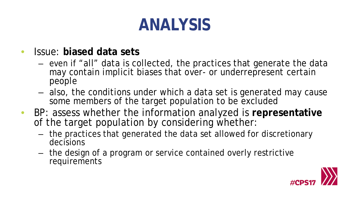### **ANALYSIS**

- Issue: **biased data sets**
	- even if "all" data is collected, the practices that generate the data may contain implicit biases that over- or underrepresent certain people
	- also, the conditions under which a data set is generated may cause some members of the target population to be excluded
- BP: assess whether the information analyzed is **representative** of the target population by considering whether:
	- the practices that generated the data set allowed for discretionary decisions
	- the design of a program or service contained overly restrictive requirements

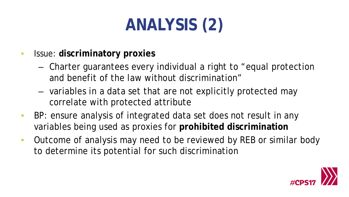# **ANALYSIS (2)**

- Issue: **discriminatory proxies**
	- Charter guarantees every individual a right to "equal protection and benefit of the law without discrimination"
	- variables in a data set that are not explicitly protected may correlate with protected attribute
- BP: ensure analysis of integrated data set does not result in any variables being used as proxies for **prohibited discrimination**
- Outcome of analysis may need to be reviewed by REB or similar body to determine its potential for such discrimination

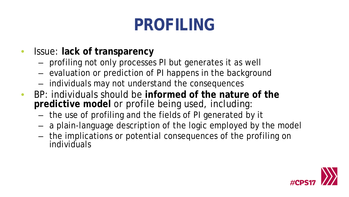## **PROFILING**

- Issue: **lack of transparency**
	- profiling not only processes PI but generates it as well
	- evaluation or prediction of PI happens in the background
	- individuals may not understand the consequences
- BP: individuals should be **informed of the nature of the predictive model** or profile being used, including:
	- the use of profiling and the fields of PI generated by it
	- a plain-language description of the logic employed by the model
	- the implications or potential consequences of the profiling on individuals

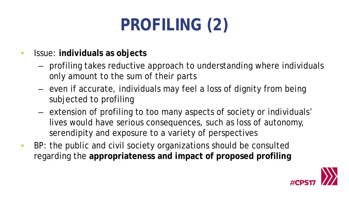# **PROFILING (2)**

- Issue: **individuals as objects**
	- profiling takes reductive approach to understanding where individuals only amount to the sum of their parts
	- even if accurate, individuals may feel a loss of dignity from being subjected to profiling
	- extension of profiling to too many aspects of society or individuals' lives would have serious consequences, such as loss of autonomy, serendipity and exposure to a variety of perspectives
- BP: the public and civil society organizations should be consulted regarding the **appropriateness and impact of proposed profiling**

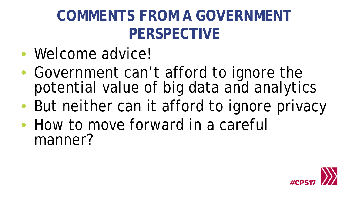#### **COMMENTS FROM A GOVERNMENT PERSPECTIVE**

- Welcome advice!
- Government can't afford to ignore the potential value of big data and analytics
- But neither can it afford to ignore privacy
- How to move forward in a careful manner?

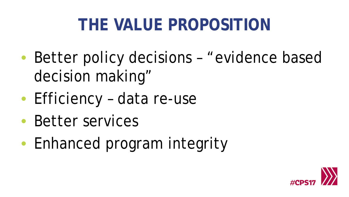### **THE VALUE PROPOSITION**

- Better policy decisions "evidence based decision making"
- Efficiency data re-use
- Better services
- Enhanced program integrity

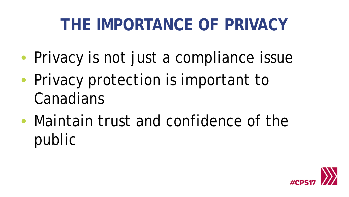### **THE IMPORTANCE OF PRIVACY**

- Privacy is not just a compliance issue
- Privacy protection is important to Canadians
- Maintain trust and confidence of the public

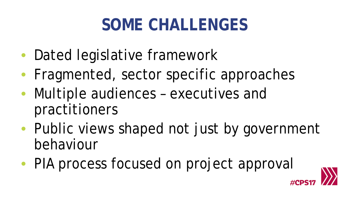### **SOME CHALLENGES**

- Dated legislative framework
- Fragmented, sector specific approaches
- Multiple audiences executives and practitioners
- Public views shaped not just by government behaviour
- PIA process focused on project approval

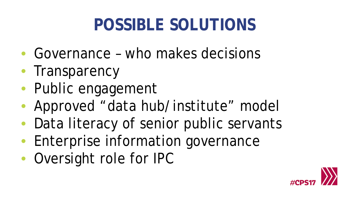### **POSSIBLE SOLUTIONS**

- Governance who makes decisions
- Transparency
- Public engagement
- Approved "data hub/institute" model
- Data literacy of senior public servants
- Enterprise information governance
- Oversight role for IPC